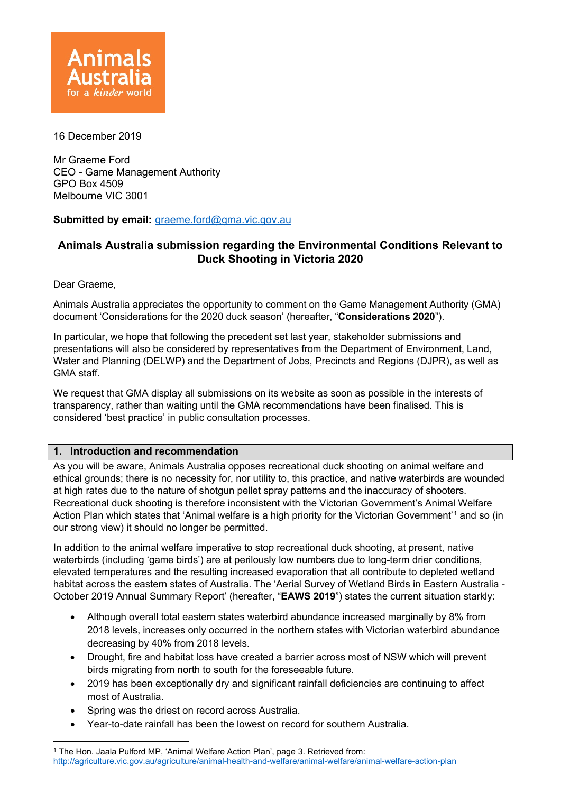

16 December 2019

Mr Graeme Ford CEO - Game Management Authority GPO Box 4509 Melbourne VIC 3001

## **Submitted by email:** [graeme.ford@gma.vic.gov.au](mailto:graeme.ford@gma.vic.gov.au)

# **Animals Australia submission regarding the Environmental Conditions Relevant to Duck Shooting in Victoria 2020**

Dear Graeme,

Animals Australia appreciates the opportunity to comment on the Game Management Authority (GMA) document 'Considerations for the 2020 duck season' (hereafter, "**Considerations 2020**").

In particular, we hope that following the precedent set last year, stakeholder submissions and presentations will also be considered by representatives from the Department of Environment, Land, Water and Planning (DELWP) and the Department of Jobs, Precincts and Regions (DJPR), as well as GMA staff.

We request that GMA display all submissions on its website as soon as possible in the interests of transparency, rather than waiting until the GMA recommendations have been finalised. This is considered 'best practice' in public consultation processes.

## **1. Introduction and recommendation**

As you will be aware, Animals Australia opposes recreational duck shooting on animal welfare and ethical grounds; there is no necessity for, nor utility to, this practice, and native waterbirds are wounded at high rates due to the nature of shotgun pellet spray patterns and the inaccuracy of shooters. Recreational duck shooting is therefore inconsistent with the Victorian Government's Animal Welfare Action Plan which states that 'Animal welfare is a high priority for the Victorian Government'[1](#page-0-0) and so (in our strong view) it should no longer be permitted.

In addition to the animal welfare imperative to stop recreational duck shooting, at present, native waterbirds (including 'game birds') are at perilously low numbers due to long-term drier conditions, elevated temperatures and the resulting increased evaporation that all contribute to depleted wetland habitat across the eastern states of Australia. The 'Aerial Survey of Wetland Birds in Eastern Australia -October 2019 Annual Summary Report' (hereafter, "**EAWS 2019**") states the current situation starkly:

- Although overall total eastern states waterbird abundance increased marginally by 8% from 2018 levels, increases only occurred in the northern states with Victorian waterbird abundance decreasing by 40% from 2018 levels.
- Drought, fire and habitat loss have created a barrier across most of NSW which will prevent birds migrating from north to south for the foreseeable future.
- 2019 has been exceptionally dry and significant rainfall deficiencies are continuing to affect most of Australia.
- Spring was the driest on record across Australia.
- Year-to-date rainfall has been the lowest on record for southern Australia.

<span id="page-0-0"></span><sup>1</sup> The Hon. Jaala Pulford MP, 'Animal Welfare Action Plan', page 3. Retrieved from: <http://agriculture.vic.gov.au/agriculture/animal-health-and-welfare/animal-welfare/animal-welfare-action-plan>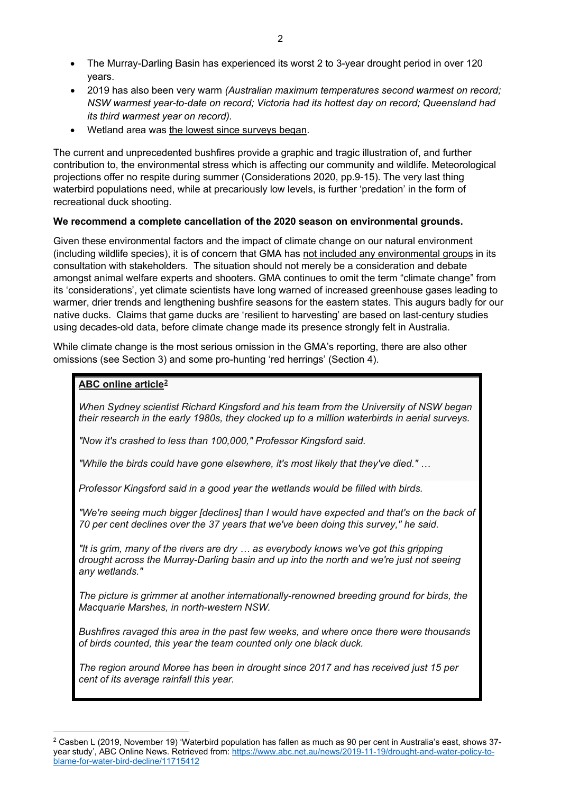- The Murray-Darling Basin has experienced its worst 2 to 3-year drought period in over 120 years.
- 2019 has also been very warm *(Australian maximum temperatures second warmest on record; NSW warmest year-to-date on record; Victoria had its hottest day on record; Queensland had its third warmest year on record).*
- Wetland area was the lowest since surveys began.

The current and unprecedented bushfires provide a graphic and tragic illustration of, and further contribution to, the environmental stress which is affecting our community and wildlife. Meteorological projections offer no respite during summer (Considerations 2020, pp.9-15). The very last thing waterbird populations need, while at precariously low levels, is further 'predation' in the form of recreational duck shooting.

## **We recommend a complete cancellation of the 2020 season on environmental grounds.**

Given these environmental factors and the impact of climate change on our natural environment (including wildlife species), it is of concern that GMA has not included any environmental groups in its consultation with stakeholders. The situation should not merely be a consideration and debate amongst animal welfare experts and shooters. GMA continues to omit the term "climate change" from its 'considerations', yet climate scientists have long warned of increased greenhouse gases leading to warmer, drier trends and lengthening bushfire seasons for the eastern states. This augurs badly for our native ducks. Claims that game ducks are 'resilient to harvesting' are based on last-century studies using decades-old data, before climate change made its presence strongly felt in Australia.

While climate change is the most serious omission in the GMA's reporting, there are also other omissions (see Section 3) and some pro-hunting 'red herrings' (Section 4).

## **ABC online articl[e2](#page-1-0)**

*When Sydney scientist Richard Kingsford and his team from the University of NSW began their research in the early 1980s, they clocked up to a million waterbirds in aerial surveys.*

*"Now it's crashed to less than 100,000," Professor Kingsford said.*

*"While the birds could have gone elsewhere, it's most likely that they've died." …*

*Professor Kingsford said in a good year the wetlands would be filled with birds.*

*"We're seeing much bigger [declines] than I would have expected and that's on the back of 70 per cent declines over the 37 years that we've been doing this survey," he said.*

*"It is grim, many of the rivers are dry … as everybody knows we've got this gripping drought across the Murray-Darling basin and up into the north and we're just not seeing any wetlands."*

*The picture is grimmer at another internationally-renowned breeding ground for birds, the Macquarie Marshes, in north-western NSW.*

*Bushfires ravaged this area in the past few weeks, and where once there were thousands of birds counted, this year the team counted only one black duck.*

*The region around Moree has been in drought since 2017 and has received just 15 per cent of its average rainfall this year.*

<span id="page-1-0"></span><sup>2</sup> Casben L (2019, November 19) 'Waterbird population has fallen as much as 90 per cent in Australia's east, shows 37 year study', ABC Online News. Retrieved from: [https://www.abc.net.au/news/2019-11-19/drought-and-water-policy-to](https://www.abc.net.au/news/2019-11-19/drought-and-water-policy-to-blame-for-water-bird-decline/11715412)[blame-for-water-bird-decline/11715412](https://www.abc.net.au/news/2019-11-19/drought-and-water-policy-to-blame-for-water-bird-decline/11715412)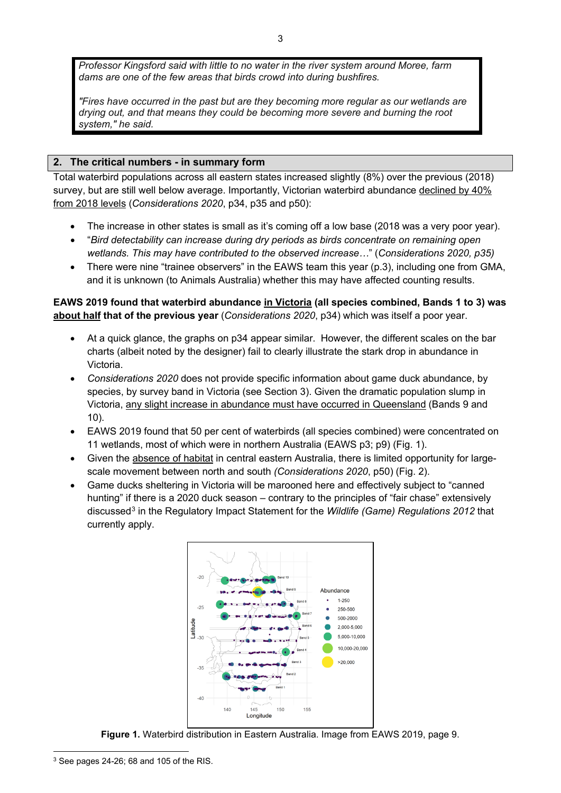*Professor Kingsford said with little to no water in the river system around Moree, farm dams are one of the few areas that birds crowd into during bushfires.*

*"Fires have occurred in the past but are they becoming more regular as our wetlands are drying out, and that means they could be becoming more severe and burning the root system," he said.*

### **2. The critical numbers - in summary form**

Total waterbird populations across all eastern states increased slightly (8%) over the previous (2018) survey, but are still well below average. Importantly, Victorian waterbird abundance declined by 40% from 2018 levels (*Considerations 2020*, p34, p35 and p50):

- The increase in other states is small as it's coming off a low base (2018 was a very poor year).
- "*Bird detectability can increase during dry periods as birds concentrate on remaining open wetlands. This may have contributed to the observed increase…*" (*Considerations 2020, p35)*
- There were nine "trainee observers" in the EAWS team this year (p.3), including one from GMA, and it is unknown (to Animals Australia) whether this may have affected counting results.

**EAWS 2019 found that waterbird abundance in Victoria (all species combined, Bands 1 to 3) was about half that of the previous year** (*Considerations 2020*, p34) which was itself a poor year.

- At a quick glance, the graphs on p34 appear similar. However, the different scales on the bar charts (albeit noted by the designer) fail to clearly illustrate the stark drop in abundance in Victoria.
- *Considerations 2020* does not provide specific information about game duck abundance, by species, by survey band in Victoria (see Section 3). Given the dramatic population slump in Victoria, any slight increase in abundance must have occurred in Queensland (Bands 9 and 10).
- EAWS 2019 found that 50 per cent of waterbirds (all species combined) were concentrated on 11 wetlands, most of which were in northern Australia (EAWS p3; p9) (Fig. 1).
- Given the absence of habitat in central eastern Australia, there is limited opportunity for largescale movement between north and south *(Considerations 2020*, p50) (Fig. 2).
- Game ducks sheltering in Victoria will be marooned here and effectively subject to "canned hunting" if there is a 2020 duck season – contrary to the principles of "fair chase" extensively discussed<sup>[3](#page-2-0)</sup> in the Regulatory Impact Statement for the *Wildlife (Game) Regulations 2012* that currently apply.



**Figure 1.** Waterbird distribution in Eastern Australia. Image from EAWS 2019, page 9.

<span id="page-2-0"></span><sup>3</sup> See pages 24-26; 68 and 105 of the RIS.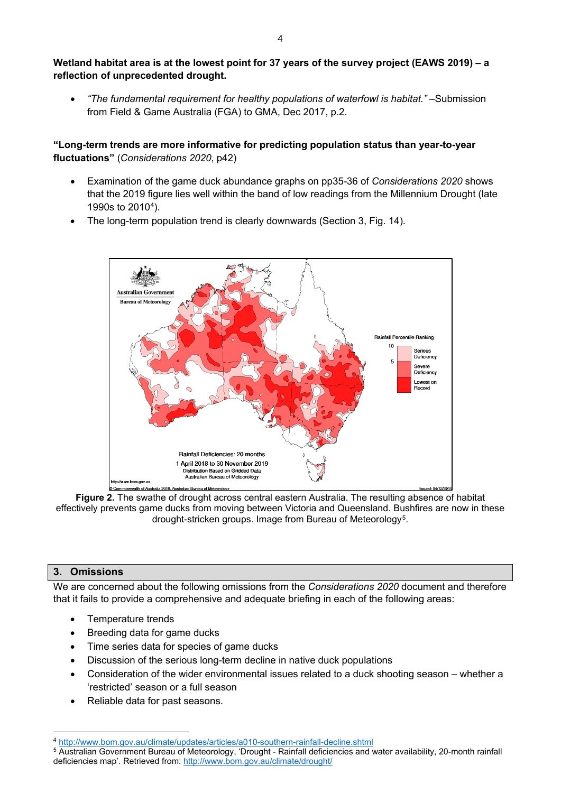## **Wetland habitat area is at the lowest point for 37 years of the survey project (EAWS 2019) – a reflection of unprecedented drought.**

• *"The fundamental requirement for healthy populations of waterfowl is habitat." –*Submission from Field & Game Australia (FGA) to GMA, Dec 2017, p.2.

## **"Long-term trends are more informative for predicting population status than year-to-year fluctuations"** (*Considerations 2020*, p42)

- Examination of the game duck abundance graphs on pp35-36 of *Considerations 2020* shows that the 2019 figure lies well within the band of low readings from the Millennium Drought (late 1990s to 2010[4\)](#page-3-0).
- The long-term population trend is clearly downwards (Section 3, Fig. 14).



**Figure 2.** The swathe of drought across central eastern Australia. The resulting absence of habitat effectively prevents game ducks from moving between Victoria and Queensland. Bushfires are now in these drought-stricken groups. Image from Bureau of Meteorology<sup>5</sup>.

## **3. Omissions**

We are concerned about the following omissions from the *Considerations 2020* document and therefore that it fails to provide a comprehensive and adequate briefing in each of the following areas:

- Temperature trends
- Breeding data for game ducks
- Time series data for species of game ducks
- Discussion of the serious long-term decline in native duck populations
- Consideration of the wider environmental issues related to a duck shooting season whether a 'restricted' season or a full season
- Reliable data for past seasons.

<sup>4</sup> <http://www.bom.gov.au/climate/updates/articles/a010-southern-rainfall-decline.shtml>

<span id="page-3-1"></span><span id="page-3-0"></span><sup>5</sup> Australian Government Bureau of Meteorology, 'Drought - Rainfall deficiencies and water availability, 20-month rainfall deficiencies map'. Retrieved from:<http://www.bom.gov.au/climate/drought/>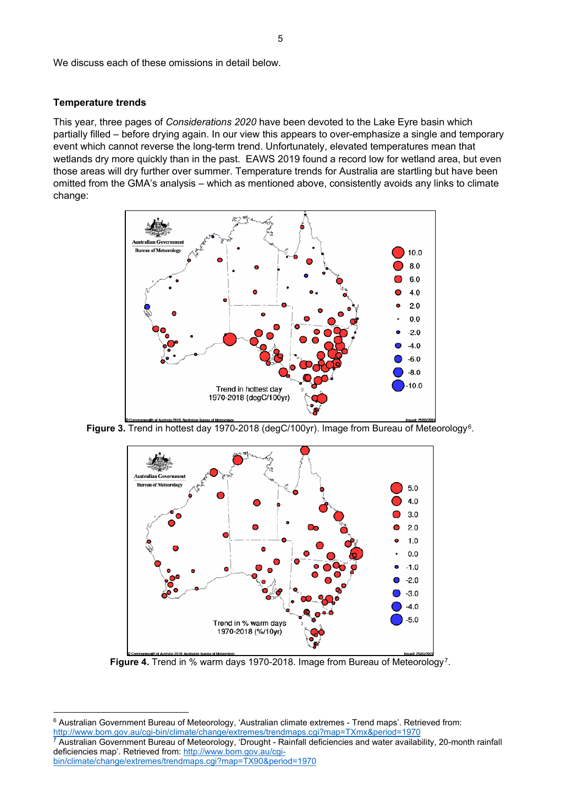We discuss each of these omissions in detail below.

#### **Temperature trends**

This year, three pages of *Considerations 2020* have been devoted to the Lake Eyre basin which partially filled – before drying again. In our view this appears to over-emphasize a single and temporary event which cannot reverse the long-term trend. Unfortunately, elevated temperatures mean that wetlands dry more quickly than in the past. EAWS 2019 found a record low for wetland area, but even those areas will dry further over summer. Temperature trends for Australia are startling but have been omitted from the GMA's analysis – which as mentioned above, consistently avoids any links to climate change:



Figure 3. Trend in hottest day 1970-2018 (degC/100yr). Image from Bureau of Meteorology<sup>6</sup>.



**Figure 4.** Trend in % warm days 1970-2018. Image from Bureau of Meteorology[7.](#page-4-1)

<span id="page-4-0"></span><sup>6</sup> Australian Government Bureau of Meteorology, 'Australian climate extremes - Trend maps'. Retrieved from: <http://www.bom.gov.au/cgi-bin/climate/change/extremes/trendmaps.cgi?map=TXmx&period=1970> <sup>7</sup> Australian Government Bureau of Meteorology, 'Drought - Rainfall deficiencies and water availability, 20-month rainfall deficiencies map'. Retrieved from: [http://www.bom.gov.au/cgi-](http://www.bom.gov.au/cgi-bin/climate/change/extremes/trendmaps.cgi?map=TX90&period=1970)

<span id="page-4-1"></span>[bin/climate/change/extremes/trendmaps.cgi?map=TX90&period=1970](http://www.bom.gov.au/cgi-bin/climate/change/extremes/trendmaps.cgi?map=TX90&period=1970)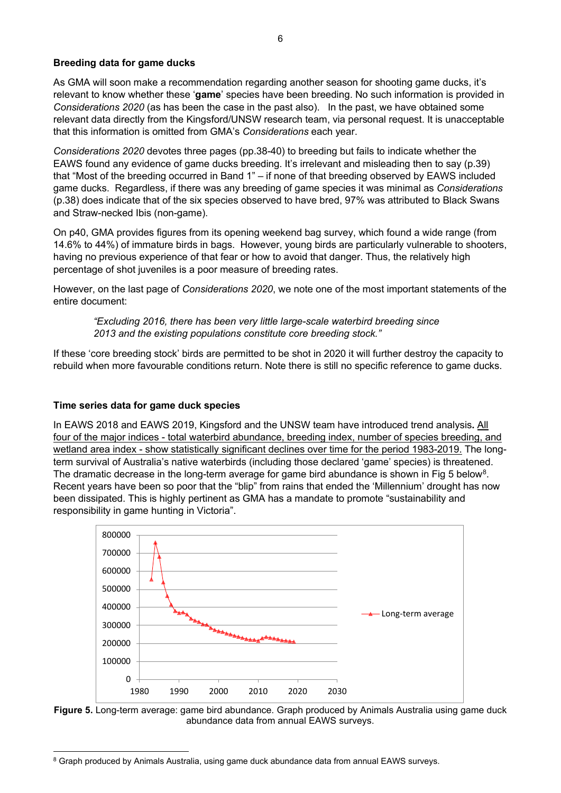### **Breeding data for game ducks**

As GMA will soon make a recommendation regarding another season for shooting game ducks, it's relevant to know whether these '**game**' species have been breeding. No such information is provided in *Considerations 2020* (as has been the case in the past also). In the past, we have obtained some relevant data directly from the Kingsford/UNSW research team, via personal request. It is unacceptable that this information is omitted from GMA's *Considerations* each year.

*Considerations 2020* devotes three pages (pp.38-40) to breeding but fails to indicate whether the EAWS found any evidence of game ducks breeding. It's irrelevant and misleading then to say (p.39) that "Most of the breeding occurred in Band 1" – if none of that breeding observed by EAWS included game ducks. Regardless, if there was any breeding of game species it was minimal as *Considerations* (p.38) does indicate that of the six species observed to have bred, 97% was attributed to Black Swans and Straw-necked Ibis (non-game).

On p40, GMA provides figures from its opening weekend bag survey, which found a wide range (from 14.6% to 44%) of immature birds in bags. However, young birds are particularly vulnerable to shooters, having no previous experience of that fear or how to avoid that danger. Thus, the relatively high percentage of shot juveniles is a poor measure of breeding rates.

However, on the last page of *Considerations 2020*, we note one of the most important statements of the entire document:

*"Excluding 2016, there has been very little large-scale waterbird breeding since 2013 and the existing populations constitute core breeding stock."* 

If these 'core breeding stock' birds are permitted to be shot in 2020 it will further destroy the capacity to rebuild when more favourable conditions return. Note there is still no specific reference to game ducks.

## **Time series data for game duck species**

In EAWS 2018 and EAWS 2019, Kingsford and the UNSW team have introduced trend analysis**.** All four of the major indices - total waterbird abundance, breeding index, number of species breeding, and wetland area index - show statistically significant declines over time for the period 1983-2019. The longterm survival of Australia's native waterbirds (including those declared 'game' species) is threatened. The dramatic decrease in the long-term average for game bird abundance is shown in Fig 5 below<sup>[8](#page-5-0)</sup>. Recent years have been so poor that the "blip" from rains that ended the 'Millennium' drought has now been dissipated. This is highly pertinent as GMA has a mandate to promote "sustainability and responsibility in game hunting in Victoria".





<span id="page-5-0"></span><sup>&</sup>lt;sup>8</sup> Graph produced by Animals Australia, using game duck abundance data from annual EAWS surveys.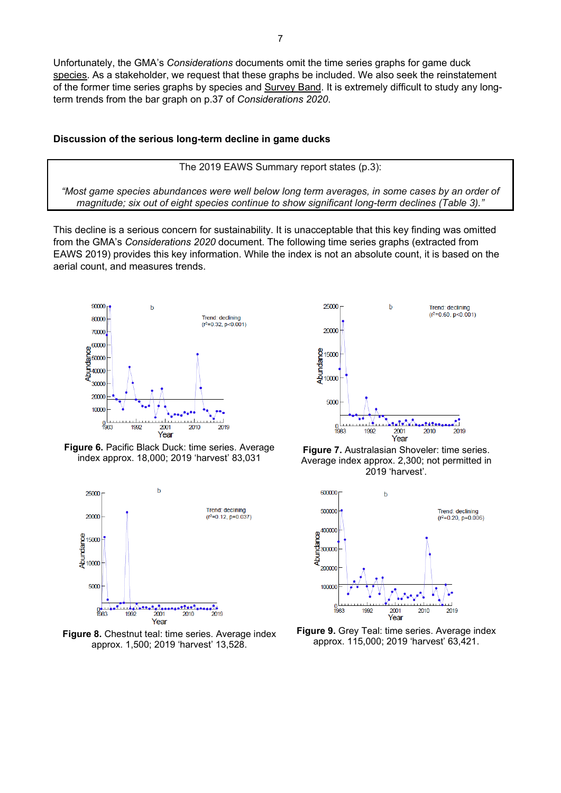Unfortunately, the GMA's *Considerations* documents omit the time series graphs for game duck species. As a stakeholder, we request that these graphs be included. We also seek the reinstatement of the former time series graphs by species and Survey Band. It is extremely difficult to study any longterm trends from the bar graph on p.37 of *Considerations 2020*.

#### **Discussion of the serious long-term decline in game ducks**

The 2019 EAWS Summary report states (p.3):

*"Most game species abundances were well below long term averages, in some cases by an order of magnitude; six out of eight species continue to show significant long-term declines (Table 3)."*

This decline is a serious concern for sustainability. It is unacceptable that this key finding was omitted from the GMA's *Considerations 2020* document. The following time series graphs (extracted from EAWS 2019) provides this key information. While the index is not an absolute count, it is based on the aerial count, and measures trends.



**Figure 6.** Pacific Black Duck: time series. Average index approx. 18,000; 2019 'harvest' 83,031 **Figure 7.** Australasian Shoveler: time series.







Average index approx. 2,300; not permitted in 2019 'harvest'.



**Figure 9.** Grey Teal: time series. Average index approx. 115,000; 2019 'harvest' 63,421.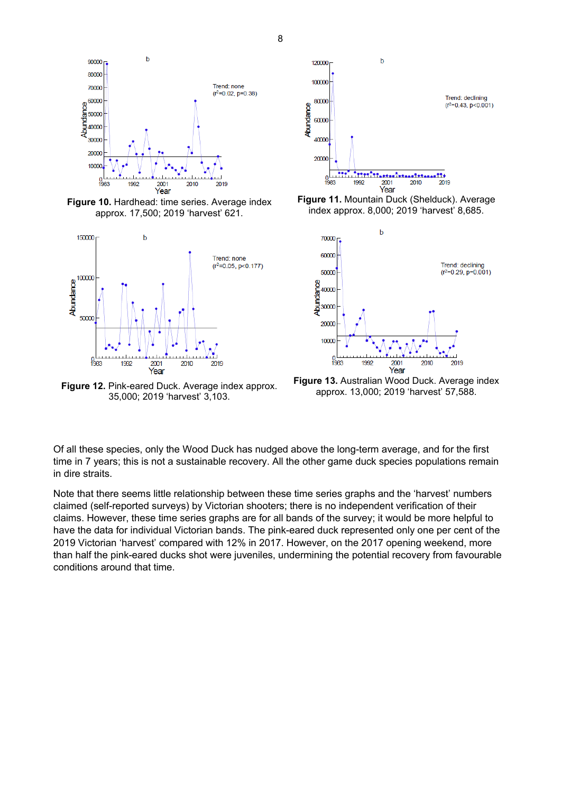

**Figure 10.** Hardhead: time series. Average index approx. 17,500; 2019 'harvest' 621.



**Figure 12.** Pink-eared Duck. Average index approx. 35,000; 2019 'harvest' 3,103.



**Figure 11.** Mountain Duck (Shelduck). Average index approx. 8,000; 2019 'harvest' 8,685.



**Figure 13.** Australian Wood Duck. Average index approx. 13,000; 2019 'harvest' 57,588.

Of all these species, only the Wood Duck has nudged above the long-term average, and for the first time in 7 years; this is not a sustainable recovery. All the other game duck species populations remain in dire straits.

Note that there seems little relationship between these time series graphs and the 'harvest' numbers claimed (self-reported surveys) by Victorian shooters; there is no independent verification of their claims. However, these time series graphs are for all bands of the survey; it would be more helpful to have the data for individual Victorian bands. The pink-eared duck represented only one per cent of the 2019 Victorian 'harvest' compared with 12% in 2017. However, on the 2017 opening weekend, more than half the pink-eared ducks shot were juveniles, undermining the potential recovery from favourable conditions around that time.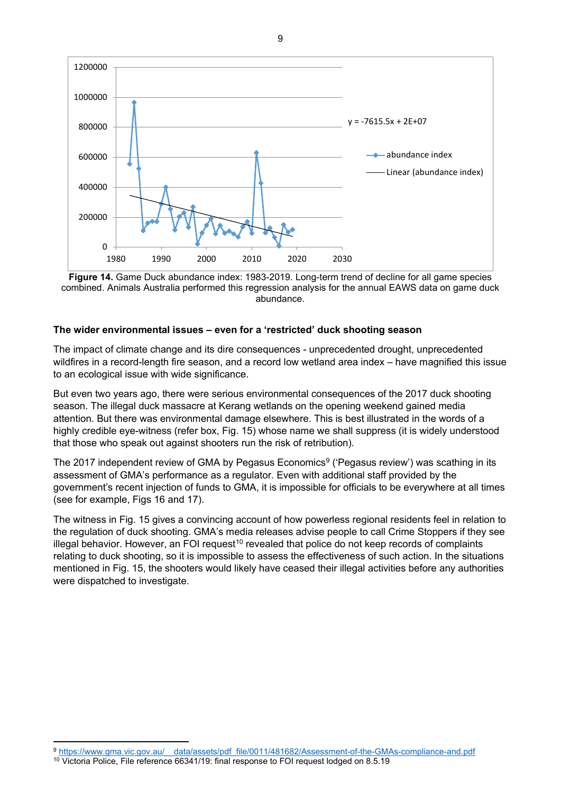

**Figure 14.** Game Duck abundance index: 1983-2019. Long-term trend of decline for all game species combined. Animals Australia performed this regression analysis for the annual EAWS data on game duck abundance.

#### **The wider environmental issues – even for a 'restricted' duck shooting season**

The impact of climate change and its dire consequences - unprecedented drought, unprecedented wildfires in a record-length fire season, and a record low wetland area index – have magnified this issue to an ecological issue with wide significance.

But even two years ago, there were serious environmental consequences of the 2017 duck shooting season. The illegal duck massacre at Kerang wetlands on the opening weekend gained media attention. But there was environmental damage elsewhere. This is best illustrated in the words of a highly credible eye-witness (refer box, Fig. 15) whose name we shall suppress (it is widely understood that those who speak out against shooters run the risk of retribution).

The 2017 independent review of GMA by Pegasus Economics<sup>[9](#page-8-0)</sup> ('Pegasus review') was scathing in its assessment of GMA's performance as a regulator. Even with additional staff provided by the government's recent injection of funds to GMA, it is impossible for officials to be everywhere at all times (see for example, Figs 16 and 17).

The witness in Fig. 15 gives a convincing account of how powerless regional residents feel in relation to the regulation of duck shooting. GMA's media releases advise people to call Crime Stoppers if they see illegal behavior. However, an FOI request<sup>10</sup> revealed that police do not keep records of complaints relating to duck shooting, so it is impossible to assess the effectiveness of such action. In the situations mentioned in Fig. 15, the shooters would likely have ceased their illegal activities before any authorities were dispatched to investigate.

<span id="page-8-0"></span><sup>9</sup> https://www.gma.vic.gov.au/ data/assets/pdf\_file/0011/481682/Assessment-of-the-GMAs-compliance-and.pdf

<span id="page-8-1"></span><sup>10</sup> Victoria Police, File reference 66341/19: final response to FOI request lodged on 8.5.19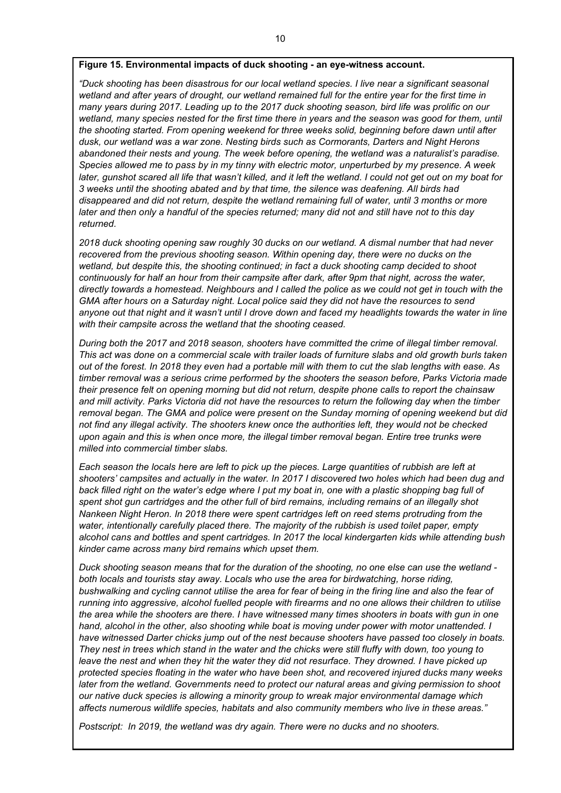#### **Figure 15. Environmental impacts of duck shooting - an eye-witness account.**

*"Duck shooting has been disastrous for our local wetland species. I live near a significant seasonal wetland and after years of drought, our wetland remained full for the entire year for the first time in many years during 2017. Leading up to the 2017 duck shooting season, bird life was prolific on our wetland, many species nested for the first time there in years and the season was good for them, until the shooting started. From opening weekend for three weeks solid, beginning before dawn until after dusk, our wetland was a war zone. Nesting birds such as Cormorants, Darters and Night Herons abandoned their nests and young. The week before opening, the wetland was a naturalist's paradise. Species allowed me to pass by in my tinny with electric motor, unperturbed by my presence. A week later, gunshot scared all life that wasn't killed, and it left the wetland. I could not get out on my boat for 3 weeks until the shooting abated and by that time, the silence was deafening. All birds had disappeared and did not return, despite the wetland remaining full of water, until 3 months or more later and then only a handful of the species returned; many did not and still have not to this day returned.*

*2018 duck shooting opening saw roughly 30 ducks on our wetland. A dismal number that had never recovered from the previous shooting season. Within opening day, there were no ducks on the wetland, but despite this, the shooting continued; in fact a duck shooting camp decided to shoot continuously for half an hour from their campsite after dark, after 9pm that night, across the water, directly towards a homestead. Neighbours and I called the police as we could not get in touch with the GMA after hours on a Saturday night. Local police said they did not have the resources to send anyone out that night and it wasn't until I drove down and faced my headlights towards the water in line with their campsite across the wetland that the shooting ceased.*

*During both the 2017 and 2018 season, shooters have committed the crime of illegal timber removal. This act was done on a commercial scale with trailer loads of furniture slabs and old growth burls taken out of the forest. In 2018 they even had a portable mill with them to cut the slab lengths with ease. As timber removal was a serious crime performed by the shooters the season before, Parks Victoria made their presence felt on opening morning but did not return, despite phone calls to report the chainsaw and mill activity. Parks Victoria did not have the resources to return the following day when the timber removal began. The GMA and police were present on the Sunday morning of opening weekend but did not find any illegal activity. The shooters knew once the authorities left, they would not be checked upon again and this is when once more, the illegal timber removal began. Entire tree trunks were milled into commercial timber slabs.*

*Each season the locals here are left to pick up the pieces. Large quantities of rubbish are left at shooters' campsites and actually in the water. In 2017 I discovered two holes which had been dug and back filled right on the water's edge where I put my boat in, one with a plastic shopping bag full of spent shot gun cartridges and the other full of bird remains, including remains of an illegally shot Nankeen Night Heron. In 2018 there were spent cartridges left on reed stems protruding from the water, intentionally carefully placed there. The majority of the rubbish is used toilet paper, empty alcohol cans and bottles and spent cartridges. In 2017 the local kindergarten kids while attending bush kinder came across many bird remains which upset them.*

*Duck shooting season means that for the duration of the shooting, no one else can use the wetland both locals and tourists stay away. Locals who use the area for birdwatching, horse riding, bushwalking and cycling cannot utilise the area for fear of being in the firing line and also the fear of running into aggressive, alcohol fuelled people with firearms and no one allows their children to utilise the area while the shooters are there. I have witnessed many times shooters in boats with gun in one hand, alcohol in the other, also shooting while boat is moving under power with motor unattended. I have witnessed Darter chicks jump out of the nest because shooters have passed too closely in boats. They nest in trees which stand in the water and the chicks were still fluffy with down, too young to*  leave the nest and when they hit the water they did not resurface. They drowned. I have picked up *protected species floating in the water who have been shot, and recovered injured ducks many weeks later from the wetland. Governments need to protect our natural areas and giving permission to shoot our native duck species is allowing a minority group to wreak major environmental damage which affects numerous wildlife species, habitats and also community members who live in these areas."*

*Postscript: In 2019, the wetland was dry again. There were no ducks and no shooters.*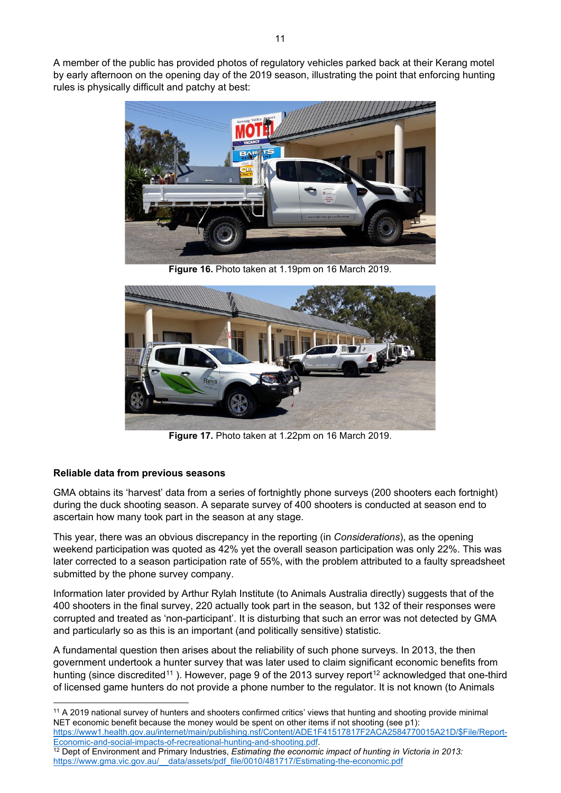A member of the public has provided photos of regulatory vehicles parked back at their Kerang motel by early afternoon on the opening day of the 2019 season, illustrating the point that enforcing hunting rules is physically difficult and patchy at best:



**Figure 16.** Photo taken at 1.19pm on 16 March 2019.



**Figure 17.** Photo taken at 1.22pm on 16 March 2019.

# **Reliable data from previous seasons**

GMA obtains its 'harvest' data from a series of fortnightly phone surveys (200 shooters each fortnight) during the duck shooting season. A separate survey of 400 shooters is conducted at season end to ascertain how many took part in the season at any stage.

This year, there was an obvious discrepancy in the reporting (in *Considerations*), as the opening weekend participation was quoted as 42% yet the overall season participation was only 22%. This was later corrected to a season participation rate of 55%, with the problem attributed to a faulty spreadsheet submitted by the phone survey company.

Information later provided by Arthur Rylah Institute (to Animals Australia directly) suggests that of the 400 shooters in the final survey, 220 actually took part in the season, but 132 of their responses were corrupted and treated as 'non-participant'. It is disturbing that such an error was not detected by GMA and particularly so as this is an important (and politically sensitive) statistic.

A fundamental question then arises about the reliability of such phone surveys. In 2013, the then government undertook a hunter survey that was later used to claim significant economic benefits from hunting (since discredited<sup>[11](#page-10-0)</sup>). However, page 9 of the 2013 survey report<sup>[12](#page-10-1)</sup> acknowledged that one-third of licensed game hunters do not provide a phone number to the regulator. It is not known (to Animals

<span id="page-10-0"></span><sup>11</sup> A 2019 national survey of hunters and shooters confirmed critics' views that hunting and shooting provide minimal NET economic benefit because the money would be spent on other items if not shooting (see p1): [https://www1.health.gov.au/internet/main/publishing.nsf/Content/ADE1F41517817F2ACA2584770015A21D/\\$File/Report-](https://www1.health.gov.au/internet/main/publishing.nsf/Content/ADE1F41517817F2ACA2584770015A21D/$File/Report-Economic-and-social-impacts-of-recreational-hunting-and-shooting.pdf)[Economic-and-social-impacts-of-recreational-hunting-and-shooting.pdf.](https://www1.health.gov.au/internet/main/publishing.nsf/Content/ADE1F41517817F2ACA2584770015A21D/$File/Report-Economic-and-social-impacts-of-recreational-hunting-and-shooting.pdf)

<span id="page-10-1"></span><sup>12</sup> Dept of Environment and Primary Industries, *Estimating the economic impact of hunting in Victoria in 2013:* [https://www.gma.vic.gov.au/\\_\\_data/assets/pdf\\_file/0010/481717/Estimating-the-economic.pdf](https://www.gma.vic.gov.au/__data/assets/pdf_file/0010/481717/Estimating-the-economic.pdf)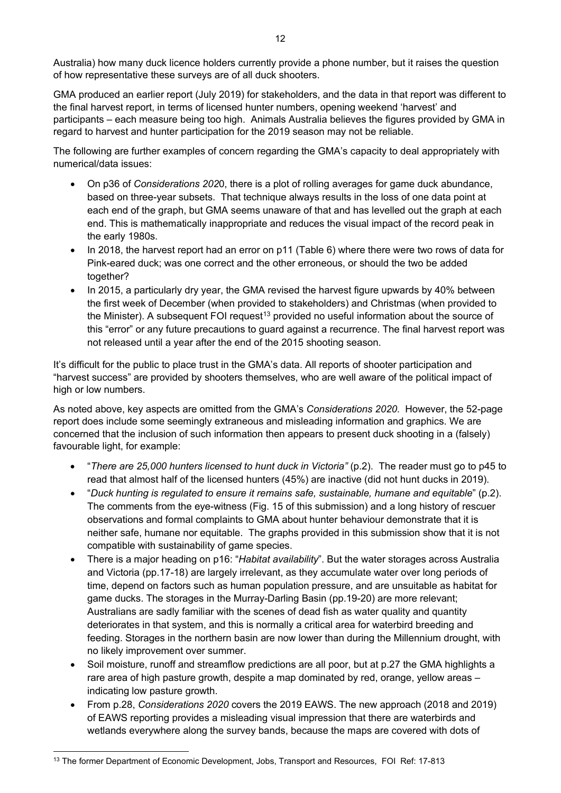Australia) how many duck licence holders currently provide a phone number, but it raises the question of how representative these surveys are of all duck shooters.

GMA produced an earlier report (July 2019) for stakeholders, and the data in that report was different to the final harvest report, in terms of licensed hunter numbers, opening weekend 'harvest' and participants – each measure being too high. Animals Australia believes the figures provided by GMA in regard to harvest and hunter participation for the 2019 season may not be reliable.

The following are further examples of concern regarding the GMA's capacity to deal appropriately with numerical/data issues:

- On p36 of *Considerations 202*0, there is a plot of rolling averages for game duck abundance, based on three-year subsets. That technique always results in the loss of one data point at each end of the graph, but GMA seems unaware of that and has levelled out the graph at each end. This is mathematically inappropriate and reduces the visual impact of the record peak in the early 1980s.
- In 2018, the harvest report had an error on p11 (Table 6) where there were two rows of data for Pink-eared duck; was one correct and the other erroneous, or should the two be added together?
- In 2015, a particularly dry year, the GMA revised the harvest figure upwards by 40% between the first week of December (when provided to stakeholders) and Christmas (when provided to the Minister). A subsequent FOI request<sup>13</sup> provided no useful information about the source of this "error" or any future precautions to guard against a recurrence. The final harvest report was not released until a year after the end of the 2015 shooting season.

It's difficult for the public to place trust in the GMA's data. All reports of shooter participation and "harvest success" are provided by shooters themselves, who are well aware of the political impact of high or low numbers.

As noted above, key aspects are omitted from the GMA's *Considerations 2020*. However, the 52-page report does include some seemingly extraneous and misleading information and graphics. We are concerned that the inclusion of such information then appears to present duck shooting in a (falsely) favourable light, for example:

- "*There are 25,000 hunters licensed to hunt duck in Victoria"* (p.2). The reader must go to p45 to read that almost half of the licensed hunters (45%) are inactive (did not hunt ducks in 2019).
- "*Duck hunting is regulated to ensure it remains safe, sustainable, humane and equitable*" (p.2). The comments from the eye-witness (Fig. 15 of this submission) and a long history of rescuer observations and formal complaints to GMA about hunter behaviour demonstrate that it is neither safe, humane nor equitable. The graphs provided in this submission show that it is not compatible with sustainability of game species.
- There is a major heading on p16: "*Habitat availability*". But the water storages across Australia and Victoria (pp.17-18) are largely irrelevant, as they accumulate water over long periods of time, depend on factors such as human population pressure, and are unsuitable as habitat for game ducks. The storages in the Murray-Darling Basin (pp.19-20) are more relevant; Australians are sadly familiar with the scenes of dead fish as water quality and quantity deteriorates in that system, and this is normally a critical area for waterbird breeding and feeding. Storages in the northern basin are now lower than during the Millennium drought, with no likely improvement over summer.
- Soil moisture, runoff and streamflow predictions are all poor, but at p.27 the GMA highlights a rare area of high pasture growth, despite a map dominated by red, orange, yellow areas – indicating low pasture growth.
- From p.28, *Considerations 2020* covers the 2019 EAWS. The new approach (2018 and 2019) of EAWS reporting provides a misleading visual impression that there are waterbirds and wetlands everywhere along the survey bands, because the maps are covered with dots of

<span id="page-11-0"></span><sup>&</sup>lt;sup>13</sup> The former Department of Economic Development, Jobs, Transport and Resources, FOI Ref: 17-813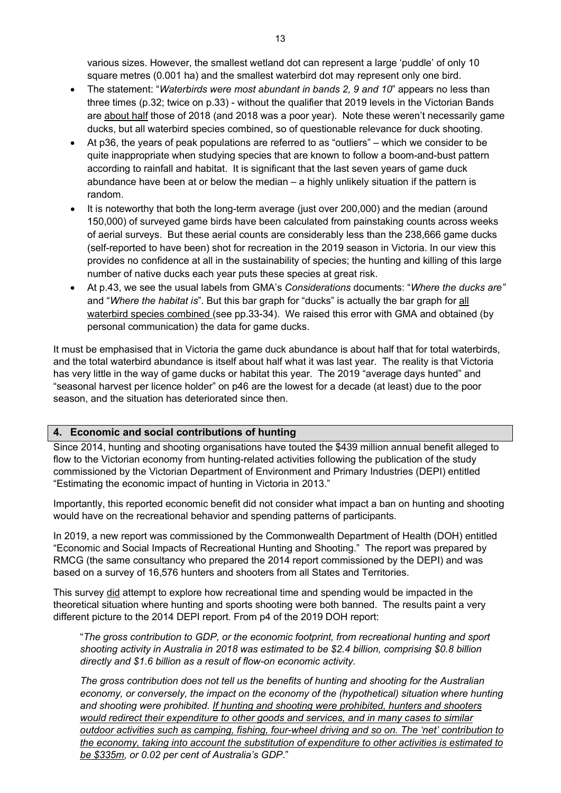various sizes. However, the smallest wetland dot can represent a large 'puddle' of only 10 square metres (0.001 ha) and the smallest waterbird dot may represent only one bird.

- The statement: "*Waterbirds were most abundant in bands 2, 9 and 10*" appears no less than three times (p.32; twice on p.33) - without the qualifier that 2019 levels in the Victorian Bands are about half those of 2018 (and 2018 was a poor year). Note these weren't necessarily game ducks, but all waterbird species combined, so of questionable relevance for duck shooting.
- At p36, the years of peak populations are referred to as "outliers" which we consider to be quite inappropriate when studying species that are known to follow a boom-and-bust pattern according to rainfall and habitat. It is significant that the last seven years of game duck abundance have been at or below the median – a highly unlikely situation if the pattern is random.
- It is noteworthy that both the long-term average (just over 200,000) and the median (around 150,000) of surveyed game birds have been calculated from painstaking counts across weeks of aerial surveys. But these aerial counts are considerably less than the 238,666 game ducks (self-reported to have been) shot for recreation in the 2019 season in Victoria. In our view this provides no confidence at all in the sustainability of species; the hunting and killing of this large number of native ducks each year puts these species at great risk.
- At p.43, we see the usual labels from GMA's *Considerations* documents: "*Where the ducks are"* and "*Where the habitat is*". But this bar graph for "ducks" is actually the bar graph for all waterbird species combined (see pp.33-34). We raised this error with GMA and obtained (by personal communication) the data for game ducks.

It must be emphasised that in Victoria the game duck abundance is about half that for total waterbirds, and the total waterbird abundance is itself about half what it was last year. The reality is that Victoria has very little in the way of game ducks or habitat this year. The 2019 "average days hunted" and "seasonal harvest per licence holder" on p46 are the lowest for a decade (at least) due to the poor season, and the situation has deteriorated since then.

## **4. Economic and social contributions of hunting**

Since 2014, hunting and shooting organisations have touted the \$439 million annual benefit alleged to flow to the Victorian economy from hunting-related activities following the publication of the study commissioned by the Victorian Department of Environment and Primary Industries (DEPI) entitled "Estimating the economic impact of hunting in Victoria in 2013."

Importantly, this reported economic benefit did not consider what impact a ban on hunting and shooting would have on the recreational behavior and spending patterns of participants.

In 2019, a new report was commissioned by the Commonwealth Department of Health (DOH) entitled "Economic and Social Impacts of Recreational Hunting and Shooting." The report was prepared by RMCG (the same consultancy who prepared the 2014 report commissioned by the DEPI) and was based on a survey of 16,576 hunters and shooters from all States and Territories.

This survey did attempt to explore how recreational time and spending would be impacted in the theoretical situation where hunting and sports shooting were both banned. The results paint a very different picture to the 2014 DEPI report. From p4 of the 2019 DOH report:

"*The gross contribution to GDP, or the economic footprint, from recreational hunting and sport shooting activity in Australia in 2018 was estimated to be \$2.4 billion, comprising \$0.8 billion directly and \$1.6 billion as a result of flow-on economic activity.*

*The gross contribution does not tell us the benefits of hunting and shooting for the Australian economy, or conversely, the impact on the economy of the (hypothetical) situation where hunting and shooting were prohibited. If hunting and shooting were prohibited, hunters and shooters would redirect their expenditure to other goods and services, and in many cases to similar outdoor activities such as camping, fishing, four-wheel driving and so on. The 'net' contribution to the economy, taking into account the substitution of expenditure to other activities is estimated to be \$335m, or 0.02 per cent of Australia's GDP*."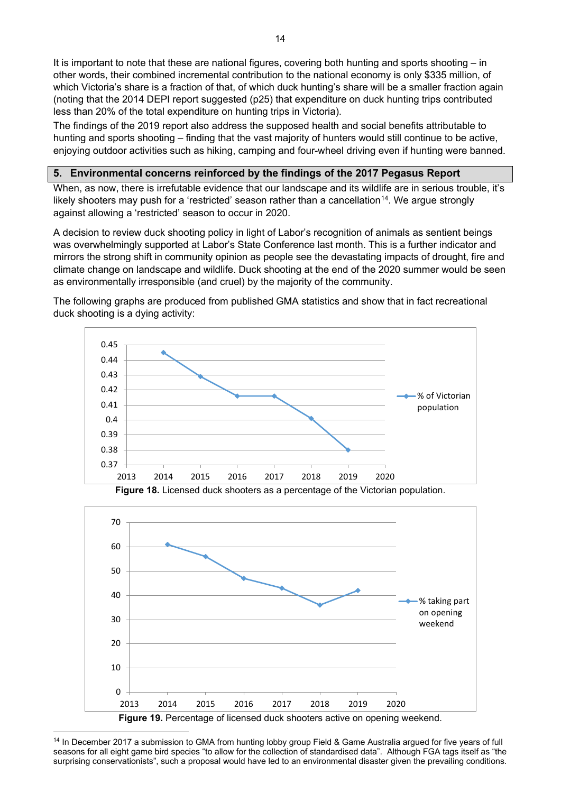The findings of the 2019 report also address the supposed health and social benefits attributable to hunting and sports shooting – finding that the vast majority of hunters would still continue to be active, enjoying outdoor activities such as hiking, camping and four-wheel driving even if hunting were banned.

### **5. Environmental concerns reinforced by the findings of the 2017 Pegasus Report**

When, as now, there is irrefutable evidence that our landscape and its wildlife are in serious trouble, it's likely shooters may push for a 'restricted' season rather than a cancellation<sup>[14](#page-13-0)</sup>. We argue strongly against allowing a 'restricted' season to occur in 2020.

A decision to review duck shooting policy in light of Labor's recognition of animals as sentient beings was overwhelmingly supported at Labor's State Conference last month. This is a further indicator and mirrors the strong shift in community opinion as people see the devastating impacts of drought, fire and climate change on landscape and wildlife. Duck shooting at the end of the 2020 summer would be seen as environmentally irresponsible (and cruel) by the majority of the community.







<span id="page-13-0"></span><sup>14</sup> In December 2017 a submission to GMA from hunting lobby group Field & Game Australia argued for five years of full seasons for all eight game bird species "to allow for the collection of standardised data". Although FGA tags itself as "the surprising conservationists", such a proposal would have led to an environmental disaster given the prevailing conditions.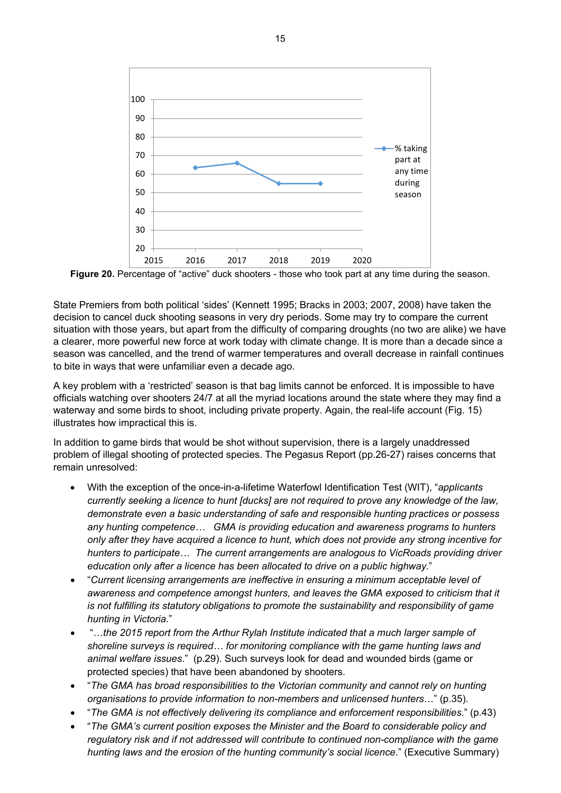

**Figure 20.** Percentage of "active" duck shooters - those who took part at any time during the season.

State Premiers from both political 'sides' (Kennett 1995; Bracks in 2003; 2007, 2008) have taken the decision to cancel duck shooting seasons in very dry periods. Some may try to compare the current situation with those years, but apart from the difficulty of comparing droughts (no two are alike) we have a clearer, more powerful new force at work today with climate change. It is more than a decade since a season was cancelled, and the trend of warmer temperatures and overall decrease in rainfall continues to bite in ways that were unfamiliar even a decade ago.

A key problem with a 'restricted' season is that bag limits cannot be enforced. It is impossible to have officials watching over shooters 24/7 at all the myriad locations around the state where they may find a waterway and some birds to shoot, including private property. Again, the real-life account (Fig. 15) illustrates how impractical this is.

In addition to game birds that would be shot without supervision, there is a largely unaddressed problem of illegal shooting of protected species. The Pegasus Report (pp.26-27) raises concerns that remain unresolved:

- With the exception of the once-in-a-lifetime Waterfowl Identification Test (WIT), "*applicants currently seeking a licence to hunt [ducks] are not required to prove any knowledge of the law, demonstrate even a basic understanding of safe and responsible hunting practices or possess any hunting competence… GMA is providing education and awareness programs to hunters only after they have acquired a licence to hunt, which does not provide any strong incentive for hunters to participate… The current arrangements are analogous to VicRoads providing driver education only after a licence has been allocated to drive on a public highway.*"
- "*Current licensing arrangements are ineffective in ensuring a minimum acceptable level of awareness and competence amongst hunters, and leaves the GMA exposed to criticism that it is not fulfilling its statutory obligations to promote the sustainability and responsibility of game hunting in Victoria.*"
- "…*the 2015 report from the Arthur Rylah Institute indicated that a much larger sample of shoreline surveys is required… for monitoring compliance with the game hunting laws and animal welfare issues*." (p.29). Such surveys look for dead and wounded birds (game or protected species) that have been abandoned by shooters.
- "*The GMA has broad responsibilities to the Victorian community and cannot rely on hunting organisations to provide information to non-members and unlicensed hunters*…" (p.35).
- "*The GMA is not effectively delivering its compliance and enforcement responsibilities*." (p.43)
- "*The GMA's current position exposes the Minister and the Board to considerable policy and regulatory risk and if not addressed will contribute to continued non-compliance with the game hunting laws and the erosion of the hunting community's social licence*." (Executive Summary)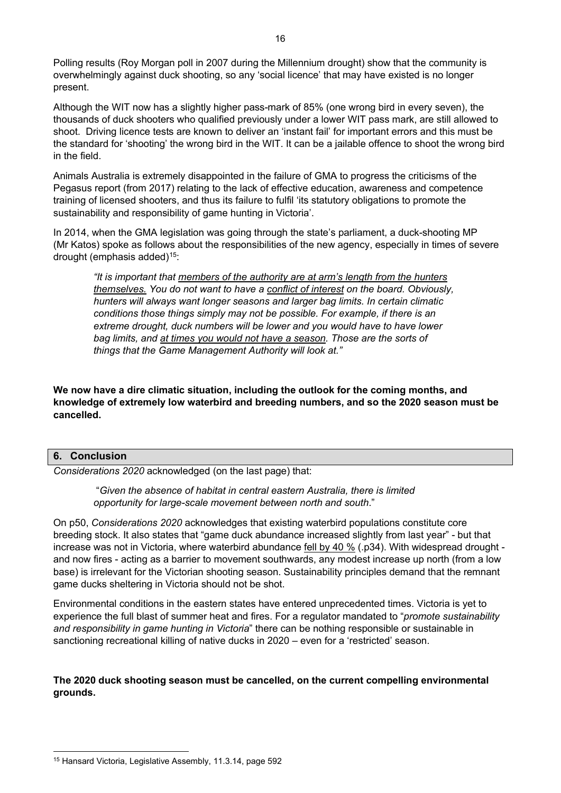Polling results (Roy Morgan poll in 2007 during the Millennium drought) show that the community is overwhelmingly against duck shooting, so any 'social licence' that may have existed is no longer present.

Although the WIT now has a slightly higher pass-mark of 85% (one wrong bird in every seven), the thousands of duck shooters who qualified previously under a lower WIT pass mark, are still allowed to shoot. Driving licence tests are known to deliver an 'instant fail' for important errors and this must be the standard for 'shooting' the wrong bird in the WIT. It can be a jailable offence to shoot the wrong bird in the field.

Animals Australia is extremely disappointed in the failure of GMA to progress the criticisms of the Pegasus report (from 2017) relating to the lack of effective education, awareness and competence training of licensed shooters, and thus its failure to fulfil 'its statutory obligations to promote the sustainability and responsibility of game hunting in Victoria'.

In 2014, when the GMA legislation was going through the state's parliament, a duck-shooting MP (Mr Katos) spoke as follows about the responsibilities of the new agency, especially in times of severe drought (emphasis added)[15](#page-15-0):

*"It is important that members of the authority are at arm's length from the hunters themselves. You do not want to have a conflict of interest on the board. Obviously, hunters will always want longer seasons and larger bag limits. In certain climatic conditions those things simply may not be possible. For example, if there is an extreme drought, duck numbers will be lower and you would have to have lower bag limits, and at times you would not have a season. Those are the sorts of things that the Game Management Authority will look at."*

**We now have a dire climatic situation, including the outlook for the coming months, and knowledge of extremely low waterbird and breeding numbers, and so the 2020 season must be cancelled.**

#### **6. Conclusion**

*Considerations 2020* acknowledged (on the last page) that:

"*Given the absence of habitat in central eastern Australia, there is limited opportunity for large-scale movement between north and south*."

On p50, *Considerations 2020* acknowledges that existing waterbird populations constitute core breeding stock. It also states that "game duck abundance increased slightly from last year" - but that increase was not in Victoria, where waterbird abundance fell by 40 % (.p34). With widespread drought and now fires - acting as a barrier to movement southwards, any modest increase up north (from a low base) is irrelevant for the Victorian shooting season. Sustainability principles demand that the remnant game ducks sheltering in Victoria should not be shot.

Environmental conditions in the eastern states have entered unprecedented times. Victoria is yet to experience the full blast of summer heat and fires. For a regulator mandated to "*promote sustainability and responsibility in game hunting in Victoria*" there can be nothing responsible or sustainable in sanctioning recreational killing of native ducks in 2020 – even for a 'restricted' season.

**The 2020 duck shooting season must be cancelled, on the current compelling environmental grounds.** 

<span id="page-15-0"></span><sup>15</sup> Hansard Victoria, Legislative Assembly, 11.3.14, page 592